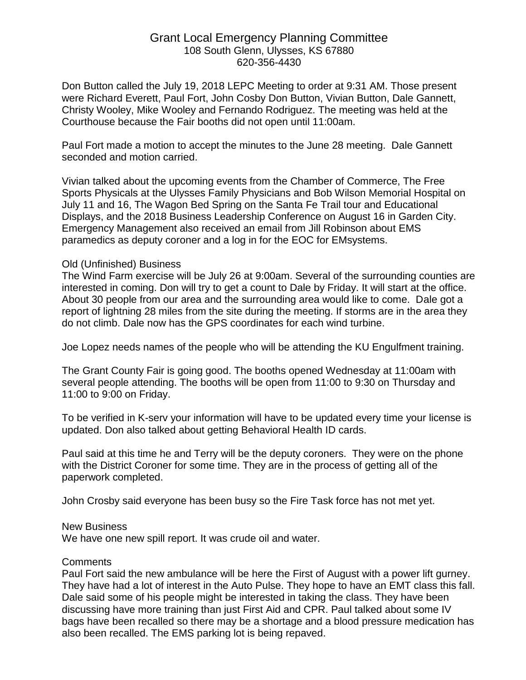## Grant Local Emergency Planning Committee 108 South Glenn, Ulysses, KS 67880 620-356-4430

Don Button called the July 19, 2018 LEPC Meeting to order at 9:31 AM. Those present were Richard Everett, Paul Fort, John Cosby Don Button, Vivian Button, Dale Gannett, Christy Wooley, Mike Wooley and Fernando Rodriguez. The meeting was held at the Courthouse because the Fair booths did not open until 11:00am.

Paul Fort made a motion to accept the minutes to the June 28 meeting. Dale Gannett seconded and motion carried.

Vivian talked about the upcoming events from the Chamber of Commerce, The Free Sports Physicals at the Ulysses Family Physicians and Bob Wilson Memorial Hospital on July 11 and 16, The Wagon Bed Spring on the Santa Fe Trail tour and Educational Displays, and the 2018 Business Leadership Conference on August 16 in Garden City. Emergency Management also received an email from Jill Robinson about EMS paramedics as deputy coroner and a log in for the EOC for EMsystems.

## Old (Unfinished) Business

The Wind Farm exercise will be July 26 at 9:00am. Several of the surrounding counties are interested in coming. Don will try to get a count to Dale by Friday. It will start at the office. About 30 people from our area and the surrounding area would like to come. Dale got a report of lightning 28 miles from the site during the meeting. If storms are in the area they do not climb. Dale now has the GPS coordinates for each wind turbine.

Joe Lopez needs names of the people who will be attending the KU Engulfment training.

The Grant County Fair is going good. The booths opened Wednesday at 11:00am with several people attending. The booths will be open from 11:00 to 9:30 on Thursday and 11:00 to 9:00 on Friday.

To be verified in K-serv your information will have to be updated every time your license is updated. Don also talked about getting Behavioral Health ID cards.

Paul said at this time he and Terry will be the deputy coroners. They were on the phone with the District Coroner for some time. They are in the process of getting all of the paperwork completed.

John Crosby said everyone has been busy so the Fire Task force has not met yet.

## New Business

We have one new spill report. It was crude oil and water.

## **Comments**

Paul Fort said the new ambulance will be here the First of August with a power lift gurney. They have had a lot of interest in the Auto Pulse. They hope to have an EMT class this fall. Dale said some of his people might be interested in taking the class. They have been discussing have more training than just First Aid and CPR. Paul talked about some IV bags have been recalled so there may be a shortage and a blood pressure medication has also been recalled. The EMS parking lot is being repaved.